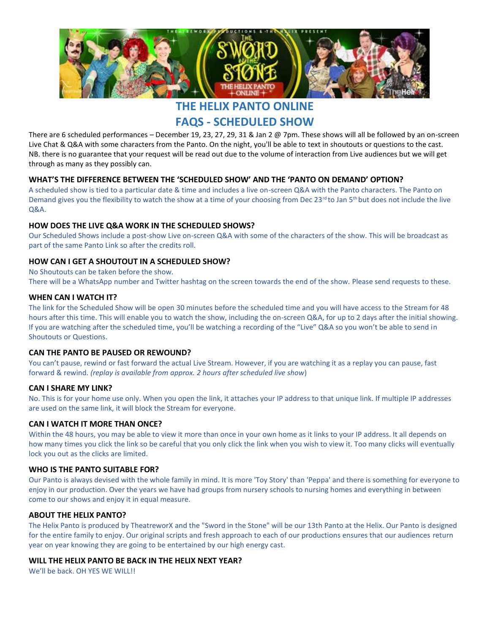

**THE HELIX PANTO ONLINE**

**FAQS - SCHEDULED SHOW**

There are 6 scheduled performances – December 19, 23, 27, 29, 31 & Jan 2 @ 7pm. These shows will all be followed by an on-screen Live Chat & Q&A with some characters from the Panto. On the night, you'll be able to text in shoutouts or questions to the cast. NB. there is no guarantee that your request will be read out due to the volume of interaction from Live audiences but we will get through as many as they possibly can.

#### **WHAT'S THE DIFFERENCE BETWEEN THE 'SCHEDULED SHOW' AND THE 'PANTO ON DEMAND' OPTION?**

A scheduled show is tied to a particular date & time and includes a live on-screen Q&A with the Panto characters. The Panto on Demand gives you the flexibility to watch the show at a time of your choosing from Dec 23<sup>rd</sup> to Jan 5<sup>th</sup> but does not include the live Q&A.

#### **HOW DOES THE LIVE Q&A WORK IN THE SCHEDULED SHOWS?**

Our Scheduled Shows include a post-show Live on-screen Q&A with some of the characters of the show. This will be broadcast as part of the same Panto Link so after the credits roll.

#### **HOW CAN I GET A SHOUTOUT IN A SCHEDULED SHOW?**

No Shoutouts can be taken before the show.

There will be a WhatsApp number and Twitter hashtag on the screen towards the end of the show. Please send requests to these.

#### **WHEN CAN I WATCH IT?**

The link for the Scheduled Show will be open 30 minutes before the scheduled time and you will have access to the Stream for 48 hours after this time. This will enable you to watch the show, including the on-screen Q&A, for up to 2 days after the initial showing. If you are watching after the scheduled time, you'll be watching a recording of the "Live" Q&A so you won't be able to send in Shoutouts or Questions.

#### **CAN THE PANTO BE PAUSED OR REWOUND?**

You can't pause, rewind or fast forward the actual Live Stream. However, if you are watching it as a replay you can pause, fast forward & rewind*. (replay is available from approx. 2 hours after scheduled live show*)

#### **CAN I SHARE MY LINK?**

No. This is for your home use only. When you open the link, it attaches your IP address to that unique link. If multiple IP addresses are used on the same link, it will block the Stream for everyone.

#### **CAN I WATCH IT MORE THAN ONCE?**

Within the 48 hours, you may be able to view it more than once in your own home as it links to your IP address. It all depends on how many times you click the link so be careful that you only click the link when you wish to view it. Too many clicks will eventually lock you out as the clicks are limited.

#### **WHO IS THE PANTO SUITABLE FOR?**

Our Panto is always devised with the whole family in mind. It is more 'Toy Story' than 'Peppa' and there is something for everyone to enjoy in our production. Over the years we have had groups from nursery schools to nursing homes and everything in between come to our shows and enjoy it in equal measure.

#### **ABOUT THE HELIX PANTO?**

The Helix Panto is produced by TheatreworX and the "Sword in the Stone" will be our 13th Panto at the Helix. Our Panto is designed for the entire family to enjoy. Our original scripts and fresh approach to each of our productions ensures that our audiences return year on year knowing they are going to be entertained by our high energy cast.

#### **WILL THE HELIX PANTO BE BACK IN THE HELIX NEXT YEAR?**

We'll be back. OH YES WE WILL!!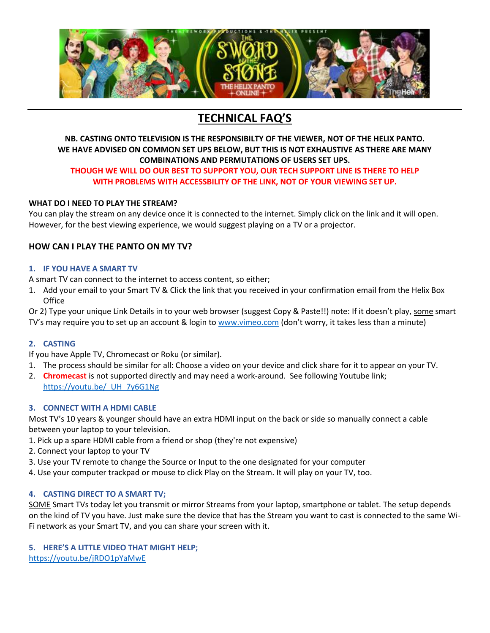

# **TECHNICAL FAQ'S**

# **NB. CASTING ONTO TELEVISION IS THE RESPONSIBILTY OF THE VIEWER, NOT OF THE HELIX PANTO. WE HAVE ADVISED ON COMMON SET UPS BELOW, BUT THIS IS NOT EXHAUSTIVE AS THERE ARE MANY COMBINATIONS AND PERMUTATIONS OF USERS SET UPS.**

#### **THOUGH WE WILL DO OUR BEST TO SUPPORT YOU, OUR TECH SUPPORT LINE IS THERE TO HELP WITH PROBLEMS WITH ACCESSBILITY OF THE LINK, NOT OF YOUR VIEWING SET UP.**

# **WHAT DO I NEED TO PLAY THE STREAM?**

You can play the stream on any device once it is connected to the internet. Simply click on the link and it will open. However, for the best viewing experience, we would suggest playing on a TV or a projector.

# **HOW CAN I PLAY THE PANTO ON MY TV?**

#### **1. IF YOU HAVE A SMART TV**

A smart TV can connect to the internet to access content, so either;

1. Add your email to your Smart TV & Click the link that you received in your confirmation email from the Helix Box **Office** 

Or 2) Type your unique Link Details in to your web browser (suggest Copy & Paste!!) note: If it doesn't play, some smart TV's may require you to set up an account & login t[o www.vimeo.com](http://www.vimeo.com/) (don't worry, it takes less than a minute)

# **2. CASTING**

If you have Apple TV, Chromecast or Roku (or similar).

- 1. The process should be similar for all: Choose a video on your device and click share for it to appear on your TV.
- 2. **Chromecast** is not supported directly and may need a work-around. See following Youtube link; [https://youtu.be/\\_UH\\_7y6G1Ng](https://youtu.be/_UH_7y6G1Ng)

# **3. CONNECT WITH A HDMI CABLE**

Most TV's 10 years & younger should have an extra HDMI input on the back or side so manually connect a cable between your laptop to your television.

- 1. Pick up a spare HDMI cable from a friend or shop (they're not expensive)
- 2. Connect your laptop to your TV
- 3. Use your TV remote to change the Source or Input to the one designated for your computer
- 4. Use your computer trackpad or mouse to click Play on the Stream. It will play on your TV, too.

# **4. CASTING DIRECT TO A SMART TV;**

SOME Smart TVs today let you transmit or mirror Streams from your laptop, smartphone or tablet. The setup depends on the kind of TV you have. Just make sure the device that has the Stream you want to cast is connected to the same Wi-Fi network as your Smart TV, and you can share your screen with it.

# **5. HERE'S A LITTLE VIDEO THAT MIGHT HELP;**

<https://youtu.be/jRDO1pYaMwE>